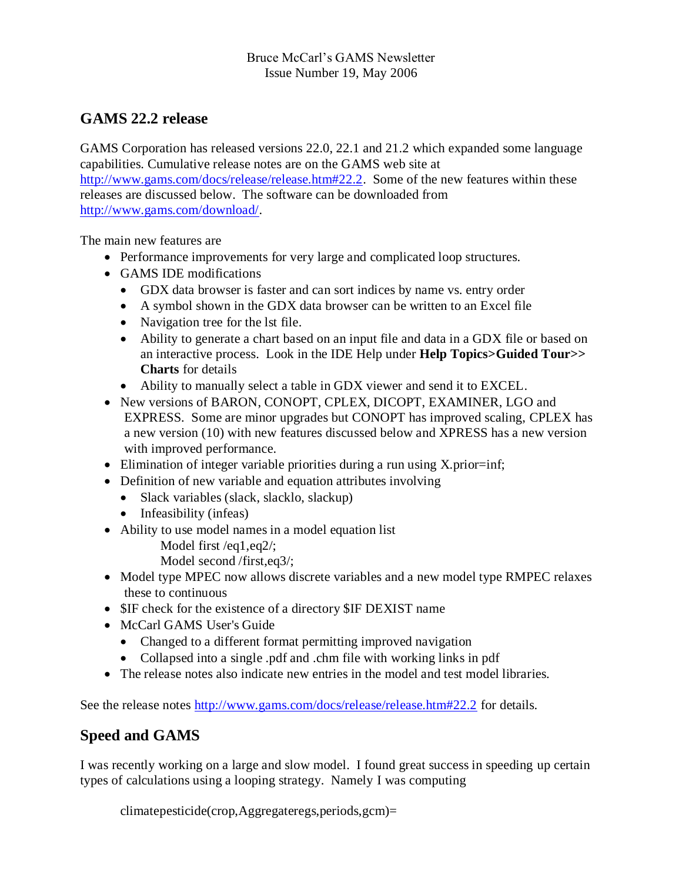#### Bruce McCarl's GAMS Newsletter Issue Number 19, May 2006

# **GAMS 22.2 release**

GAMS Corporation has released versions 22.0, 22.1 and 21.2 which expanded some language capabilities. Cumulative release notes are on the GAMS web site at [http://www.gams.com/docs/release/release.htm#22.2.](http://www.gams.com/docs/release/release.htm#22.2) Some of the new features within these releases are discussed below. The software can be downloaded from [http://www.gams.com/download/.](http://www.gams.com/download/)

The main new features are

- Performance improvements for very large and complicated loop structures.
- GAMS IDE modifications
	- GDX data browser is faster and can sort indices by name vs. entry order
	- A symbol shown in the GDX data browser can be written to an Excel file
	- Navigation tree for the lst file.
	- Ability to generate a chart based on an input file and data in a GDX file or based on an interactive process. Look in the IDE Help under **Help Topics>Guided Tour>> Charts** for details
	- Ability to manually select a table in GDX viewer and send it to EXCEL.
- New versions of BARON, CONOPT, CPLEX, DICOPT, EXAMINER, LGO and EXPRESS. Some are minor upgrades but CONOPT has improved scaling, CPLEX has a new version (10) with new features discussed below and XPRESS has a new version with improved performance.
- Elimination of integer variable priorities during a run using X.prior=inf;
- Definition of new variable and equation attributes involving
	- Slack variables (slack, slacklo, slackup)
	- Infeasibility (infeas)
- Ability to use model names in a model equation list
	- Model first /eq1,eq2/;
	- Model second /first,eq3/;
- Model type MPEC now allows discrete variables and a new model type RMPEC relaxes these to continuous
- \$IF check for the existence of a directory \$IF DEXIST name
- McCarl GAMS User's Guide
	- Changed to a different format permitting improved navigation
	- Collapsed into a single .pdf and .chm file with working links in pdf
- The release notes also indicate new entries in the model and test model libraries.

See the release notes<http://www.gams.com/docs/release/release.htm#22.2> for details.

# **Speed and GAMS**

I was recently working on a large and slow model. I found great success in speeding up certain types of calculations using a looping strategy. Namely I was computing

```
climatepesticide(crop,Aggregateregs,periods,gcm)=
```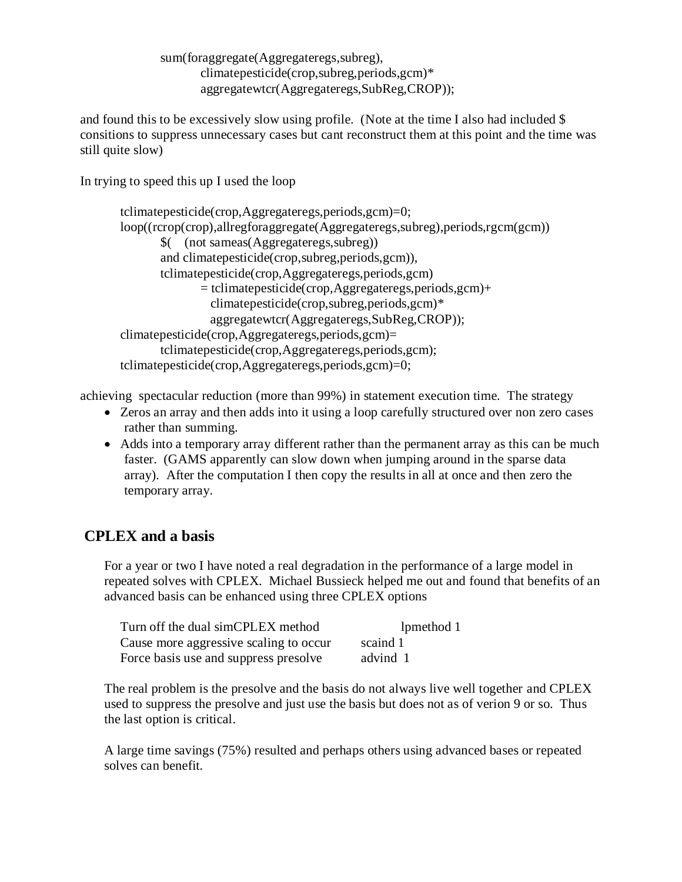sum(foraggregate(Aggregateregs,subreg), climatepesticide(crop,subreg,periods,gcm)\* aggregatewtcr(Aggregateregs,SubReg,CROP));

and found this to be excessively slow using profile. (Note at the time I also had included \$ consitions to suppress unnecessary cases but cant reconstruct them at this point and the time was still quite slow)

In trying to speed this up I used the loop

```
tclimatepesticide(crop,Aggregateregs,periods,gcm)=0;
loop((rcrop(crop),allregforaggregate(Aggregateregs,subreg),periods,rgcm(gcm))
        $( (not sameas(Aggregateregs,subreg))
        and climatepesticide(crop,subreg,periods,gcm)),
        tclimatepesticide(crop,Aggregateregs,periods,gcm)
               = tclimatepesticide(crop,Aggregateregs,periods,gcm)+
                 climatepesticide(crop,subreg,periods,gcm)*
                 aggregatewtcr(Aggregateregs,SubReg,CROP));
climatepesticide(crop,Aggregateregs,periods,gcm)=
        tclimatepesticide(crop,Aggregateregs,periods,gcm);
tclimatepesticide(crop,Aggregateregs,periods,gcm)=0;
```
achieving spectacular reduction (more than 99%) in statement execution time. The strategy

- Zeros an array and then adds into it using a loop carefully structured over non zero cases rather than summing.
- Adds into a temporary array different rather than the permanent array as this can be much faster. (GAMS apparently can slow down when jumping around in the sparse data array). After the computation I then copy the results in all at once and then zero the temporary array.

#### **CPLEX and a basis**

For a year or two I have noted a real degradation in the performance of a large model in repeated solves with CPLEX. Michael Bussieck helped me out and found that benefits of an advanced basis can be enhanced using three CPLEX options

| Turn off the dual simCPLEX method      | lpmethod 1 |
|----------------------------------------|------------|
| Cause more aggressive scaling to occur | scaind 1   |
| Force basis use and suppress presolve  | advind 1   |

The real problem is the presolve and the basis do not always live well together and CPLEX used to suppress the presolve and just use the basis but does not as of verion 9 or so. Thus the last option is critical.

A large time savings (75%) resulted and perhaps others using advanced bases or repeated solves can benefit.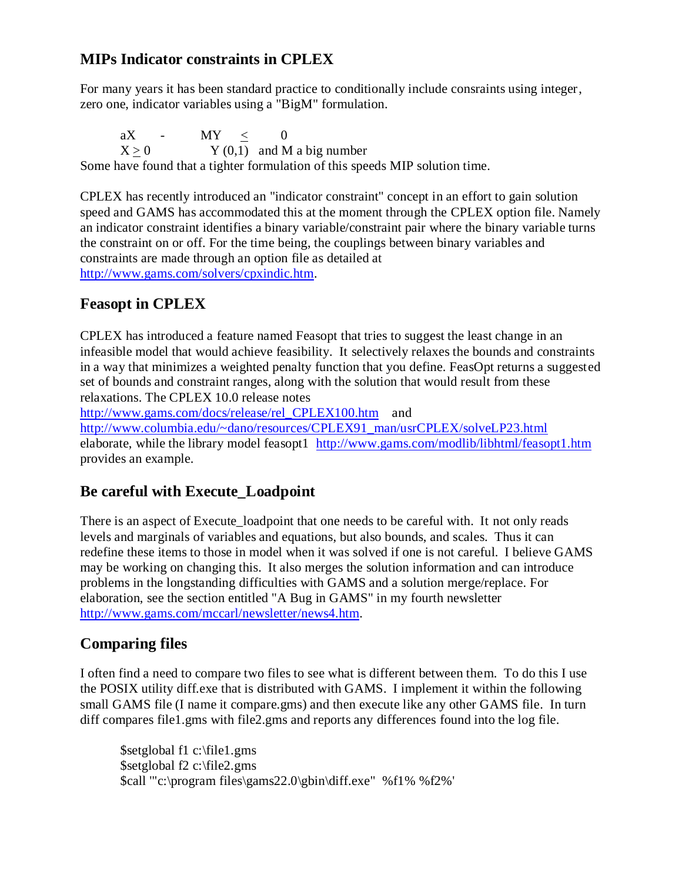#### **MIPs Indicator constraints in CPLEX**

For many years it has been standard practice to conditionally include consraints using integer, zero one, indicator variables using a "BigM" formulation.

aX - MY  $\leq$  0  $X \geq 0$  Y (0,1) and M a big number Some have found that a tighter formulation of this speeds MIP solution time.

CPLEX has recently introduced an "indicator constraint" concept in an effort to gain solution speed and GAMS has accommodated this at the moment through the CPLEX option file. Namely an indicator constraint identifies a binary variable/constraint pair where the binary variable turns the constraint on or off. For the time being, the couplings between binary variables and constraints are made through an option file as detailed at [http://www.gams.com/solvers/cpxindic.htm.](http://www.gams.com/solvers/cpxindic.htm)

# **Feasopt in CPLEX**

CPLEX has introduced a feature named Feasopt that tries to suggest the least change in an infeasible model that would achieve feasibility. It selectively relaxes the bounds and constraints in a way that minimizes a weighted penalty function that you define. FeasOpt returns a suggested set of bounds and constraint ranges, along with the solution that would result from these relaxations. The CPLEX 10.0 release notes

[http://www.gams.com/docs/release/rel\\_CPLEX100.htm](http://www.gams.com/docs/release/rel_cplex100.htm) and

[http://www.columbia.edu/~dano/resources/CPLEX91\\_man/usrCPLEX/solveLP23.html](http://www.columbia.edu/~dano/resources/cplex91_man/usrcplex/solveLP23.html)  elaborate, while the library model feasopt1 <http://www.gams.com/modlib/libhtml/feasopt1.htm> provides an example.

# **Be careful with Execute\_Loadpoint**

There is an aspect of Execute loadpoint that one needs to be careful with. It not only reads levels and marginals of variables and equations, but also bounds, and scales. Thus it can redefine these items to those in model when it was solved if one is not careful. I believe GAMS may be working on changing this. It also merges the solution information and can introduce problems in the longstanding difficulties with GAMS and a solution merge/replace. For elaboration, see the section entitled "A Bug in GAMS" in my fourth newsletter [http://www.gams.com/mccarl/newsletter/news4.htm.](http://www.gams.com/mccarl/newsletter/news4.htm)

# **Comparing files**

I often find a need to compare two files to see what is different between them. To do this I use the POSIX utility diff.exe that is distributed with GAMS. I implement it within the following small GAMS file (I name it compare.gms) and then execute like any other GAMS file. In turn diff compares file1.gms with file2.gms and reports any differences found into the log file.

\$setglobal f1 c:\file1.gms \$setglobal f2 c:\file2.gms \$call '"c:\program files\gams22.0\gbin\diff.exe" %f1% %f2%'